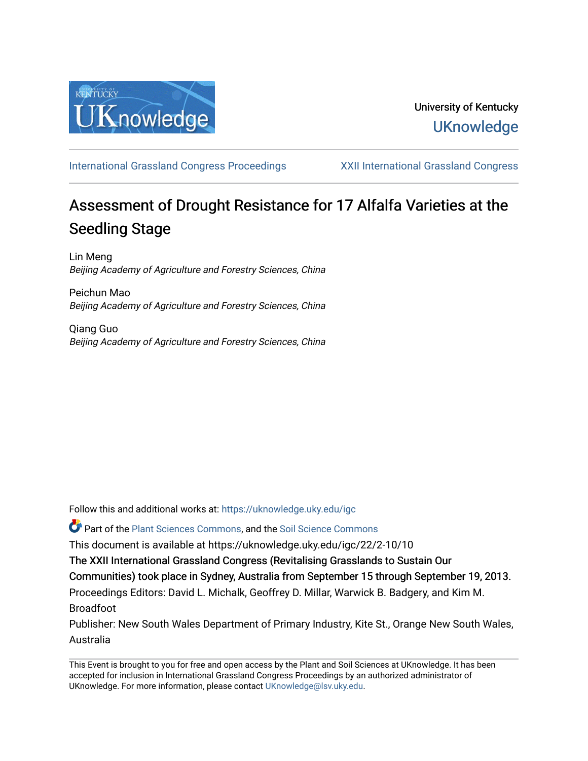

[International Grassland Congress Proceedings](https://uknowledge.uky.edu/igc) [XXII International Grassland Congress](https://uknowledge.uky.edu/igc/22) 

# Assessment of Drought Resistance for 17 Alfalfa Varieties at the Seedling Stage

Lin Meng Beijing Academy of Agriculture and Forestry Sciences, China

Peichun Mao Beijing Academy of Agriculture and Forestry Sciences, China

Qiang Guo Beijing Academy of Agriculture and Forestry Sciences, China

Follow this and additional works at: [https://uknowledge.uky.edu/igc](https://uknowledge.uky.edu/igc?utm_source=uknowledge.uky.edu%2Figc%2F22%2F2-10%2F10&utm_medium=PDF&utm_campaign=PDFCoverPages) 

Part of the [Plant Sciences Commons](http://network.bepress.com/hgg/discipline/102?utm_source=uknowledge.uky.edu%2Figc%2F22%2F2-10%2F10&utm_medium=PDF&utm_campaign=PDFCoverPages), and the [Soil Science Commons](http://network.bepress.com/hgg/discipline/163?utm_source=uknowledge.uky.edu%2Figc%2F22%2F2-10%2F10&utm_medium=PDF&utm_campaign=PDFCoverPages) 

This document is available at https://uknowledge.uky.edu/igc/22/2-10/10

The XXII International Grassland Congress (Revitalising Grasslands to Sustain Our

Communities) took place in Sydney, Australia from September 15 through September 19, 2013.

Proceedings Editors: David L. Michalk, Geoffrey D. Millar, Warwick B. Badgery, and Kim M. Broadfoot

Publisher: New South Wales Department of Primary Industry, Kite St., Orange New South Wales, Australia

This Event is brought to you for free and open access by the Plant and Soil Sciences at UKnowledge. It has been accepted for inclusion in International Grassland Congress Proceedings by an authorized administrator of UKnowledge. For more information, please contact [UKnowledge@lsv.uky.edu](mailto:UKnowledge@lsv.uky.edu).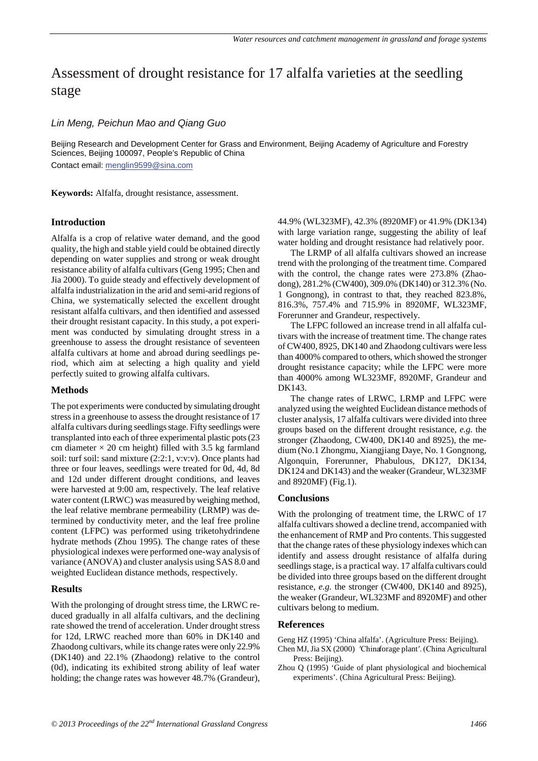# Assessment of drought resistance for 17 alfalfa varieties at the seedling stage

## *Lin Meng, Peichun Mao and Qiang Guo*

Beijing Research and Development Center for Grass and Environment, Beijing Academy of Agriculture and Forestry Sciences, Beijing 100097, People's Republic of China

Contact email: menglin9599@sina.com

**Keywords:** Alfalfa, drought resistance, assessment.

#### **Introduction**

Alfalfa is a crop of relative water demand, and the good quality, the high and stable yield could be obtained directly depending on water supplies and strong or weak drought resistance ability of alfalfa cultivars(Geng 1995; Chen and Jia 2000). To guide steady and effectively development of alfalfa industrialization in the arid and semi-arid regions of China, we systematically selected the excellent drought resistant alfalfa cultivars, and then identified and assessed their drought resistant capacity. In this study, a pot experiment was conducted by simulating drought stress in a greenhouse to assess the drought resistance of seventeen alfalfa cultivars at home and abroad during seedlings period, which aim at selecting a high quality and yield perfectly suited to growing alfalfa cultivars.

#### **Methods**

The pot experiments were conducted by simulating drought stress in a greenhouse to assess the drought resistance of 17 alfalfa cultivars during seedlings stage. Fifty seedlings were transplanted into each of three experimental plastic pots (23 cm diameter  $\times$  20 cm height) filled with 3.5 kg farmland soil: turf soil: sand mixture (2:2:1, v:v:v). Once plants had three or four leaves, seedlings were treated for 0d, 4d, 8d and 12d under different drought conditions, and leaves were harvested at 9:00 am, respectively. The leaf relative water content (LRWC) was measured by weighing method, the leaf relative membrane permeability (LRMP) was determined by conductivity meter, and the leaf free proline content (LFPC) was performed using triketohydrindene hydrate methods (Zhou 1995). The change rates of these physiological indexes were performed one-way analysis of variance (ANOVA) and cluster analysis using SAS 8.0 and weighted Euclidean distance methods, respectively.

## **Results**

With the prolonging of drought stress time, the LRWC reduced gradually in all alfalfa cultivars, and the declining rate showed the trend of acceleration. Under drought stress for 12d, LRWC reached more than 60% in DK140 and Zhaodong cultivars, while its change rates were only 22.9% (DK140) and 22.1% (Zhaodong) relative to the control (0d), indicating its exhibited strong ability of leaf water holding; the change rates was however 48.7% (Grandeur), 44.9% (WL323MF), 42.3% (8920MF) or 41.9% (DK134) with large variation range, suggesting the ability of leaf water holding and drought resistance had relatively poor.

The LRMP of all alfalfa cultivars showed an increase trend with the prolonging of the treatment time. Compared with the control, the change rates were 273.8% (Zhaodong), 281.2% (CW400), 309.0% (DK140) or 312.3% (No. 1 Gongnong), in contrast to that, they reached 823.8%, 816.3%, 757.4% and 715.9% in 8920MF, WL323MF, Forerunner and Grandeur, respectively.

The LFPC followed an increase trend in all alfalfa cultivars with the increase of treatment time. The change rates of CW400, 8925, DK140 and Zhaodong cultivars were less than 4000% compared to others, which showed the stronger drought resistance capacity; while the LFPC were more than 4000% among WL323MF, 8920MF, Grandeur and DK143.

The change rates of LRWC, LRMP and LFPC were analyzed using the weighted Euclidean distance methods of cluster analysis, 17 alfalfa cultivars were divided into three groups based on the different drought resistance, *e.g.* the stronger (Zhaodong, CW400, DK140 and 8925), the medium (No.1 Zhongmu, Xiangjiang Daye, No. 1 Gongnong, Algonquin, Forerunner, Phabulous, DK127, DK134, DK124 and DK143) and the weaker (Grandeur, WL323MF and 8920MF) (Fig.1).

#### **Conclusions**

With the prolonging of treatment time, the LRWC of 17 alfalfa cultivars showed a decline trend, accompanied with the enhancement of RMP and Pro contents. This suggested that the change rates of these physiology indexes which can identify and assess drought resistance of alfalfa during seedlings stage, is a practical way. 17 alfalfa cultivars could be divided into three groups based on the different drought resistance, *e.g.* the stronger (CW400, DK140 and 8925), the weaker (Grandeur, WL323MF and 8920MF) and other cultivars belong to medium.

#### **References**

- Geng HZ (1995) 'China alfalfa'. (Agriculture Press: Beijing).
- Chen MJ, Jia SX (2000) ′Chinaforage plant′. (China Agricultural Press: Beijing).
- Zhou Q (1995) 'Guide of plant physiological and biochemical experiments'. (China Agricultural Press: Beijing).